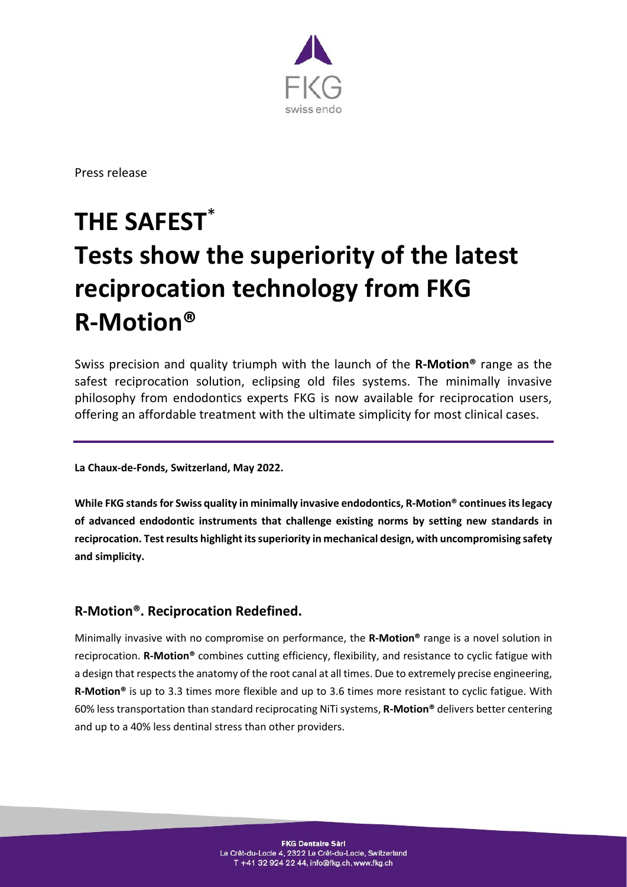

Press release

# **THE SAFEST**\* **Tests show the superiority of the latest reciprocation technology from FKG R-Motion®**

Swiss precision and quality triumph with the launch of the **R-Motion®** range as the safest reciprocation solution, eclipsing old files systems. The minimally invasive philosophy from endodontics experts FKG is now available for reciprocation users, offering an affordable treatment with the ultimate simplicity for most clinical cases.

**La Chaux-de-Fonds, Switzerland, May 2022.**

**While FKG stands for Swiss quality in minimally invasive endodontics, R-Motion® continues its legacy of advanced endodontic instruments that challenge existing norms by setting new standards in reciprocation. Test results highlight its superiority in mechanical design, with uncompromising safety and simplicity.**

## **R-Motion®. Reciprocation Redefined.**

Minimally invasive with no compromise on performance, the **R-Motion®** range is a novel solution in reciprocation. **R-Motion®** combines cutting efficiency, flexibility, and resistance to cyclic fatigue with a design that respects the anatomy of the root canal at all times. Due to extremely precise engineering, **R-Motion®** is up to 3.3 times more flexible and up to 3.6 times more resistant to cyclic fatigue. With 60% less transportation than standard reciprocating NiTi systems, **R-Motion®** delivers better centering and up to a 40% less dentinal stress than other providers.